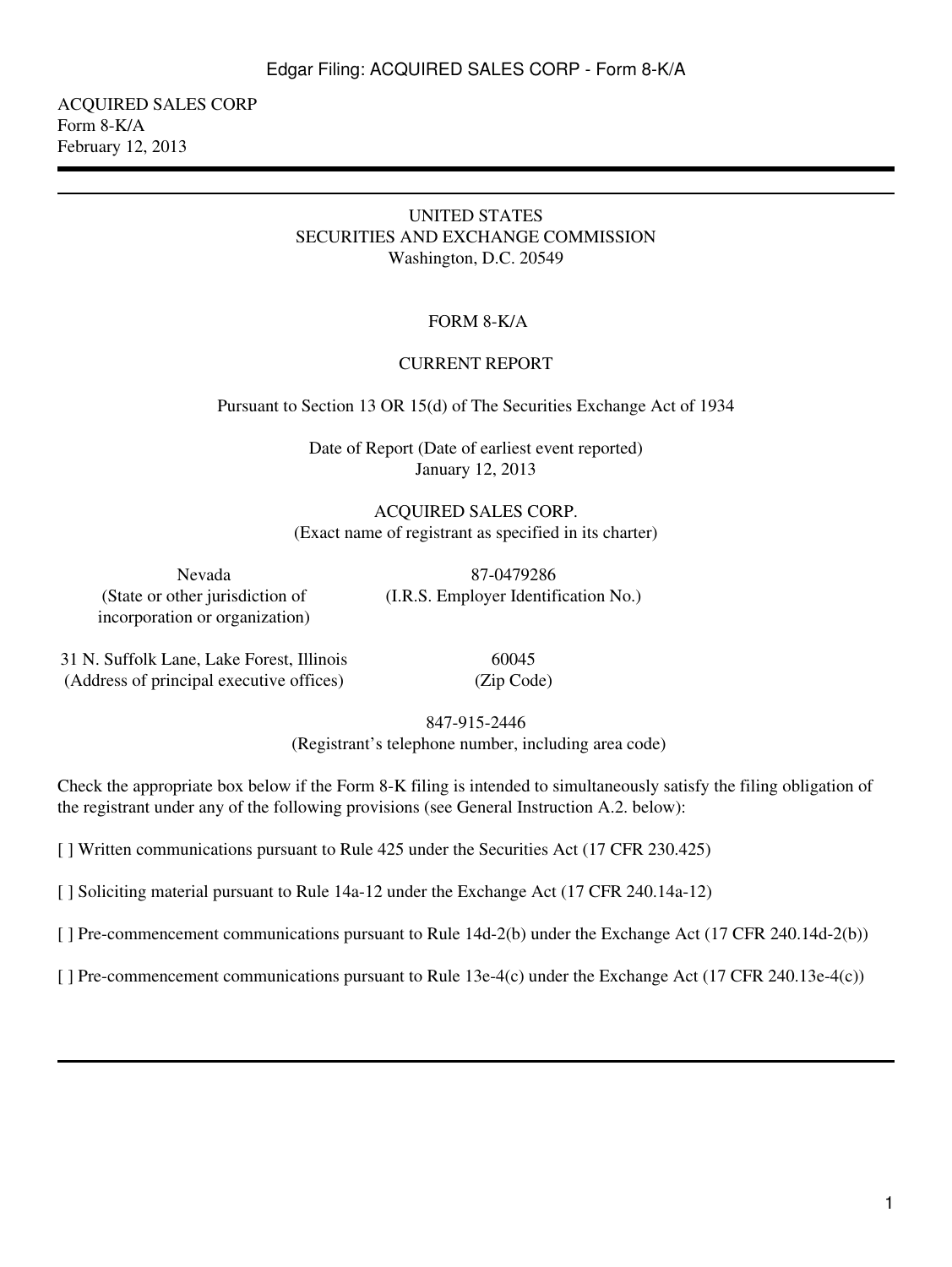ACQUIRED SALES CORP Form 8-K/A February 12, 2013

#### UNITED STATES SECURITIES AND EXCHANGE COMMISSION Washington, D.C. 20549

## FORM 8-K/A

#### CURRENT REPORT

Pursuant to Section 13 OR 15(d) of The Securities Exchange Act of 1934

Date of Report (Date of earliest event reported) January 12, 2013

ACQUIRED SALES CORP. (Exact name of registrant as specified in its charter)

(State or other jurisdiction of incorporation or organization)

Nevada 87-0479286 (I.R.S. Employer Identification No.)

31 N. Suffolk Lane, Lake Forest, Illinois 60045 (Address of principal executive offices) (Zip Code)

847-915-2446

(Registrant's telephone number, including area code)

Check the appropriate box below if the Form 8-K filing is intended to simultaneously satisfy the filing obligation of the registrant under any of the following provisions (see General Instruction A.2. below):

[ ] Written communications pursuant to Rule 425 under the Securities Act (17 CFR 230.425)

[ ] Soliciting material pursuant to Rule 14a-12 under the Exchange Act (17 CFR 240.14a-12)

[ ] Pre-commencement communications pursuant to Rule 14d-2(b) under the Exchange Act (17 CFR 240.14d-2(b))

[ ] Pre-commencement communications pursuant to Rule 13e-4(c) under the Exchange Act (17 CFR 240.13e-4(c))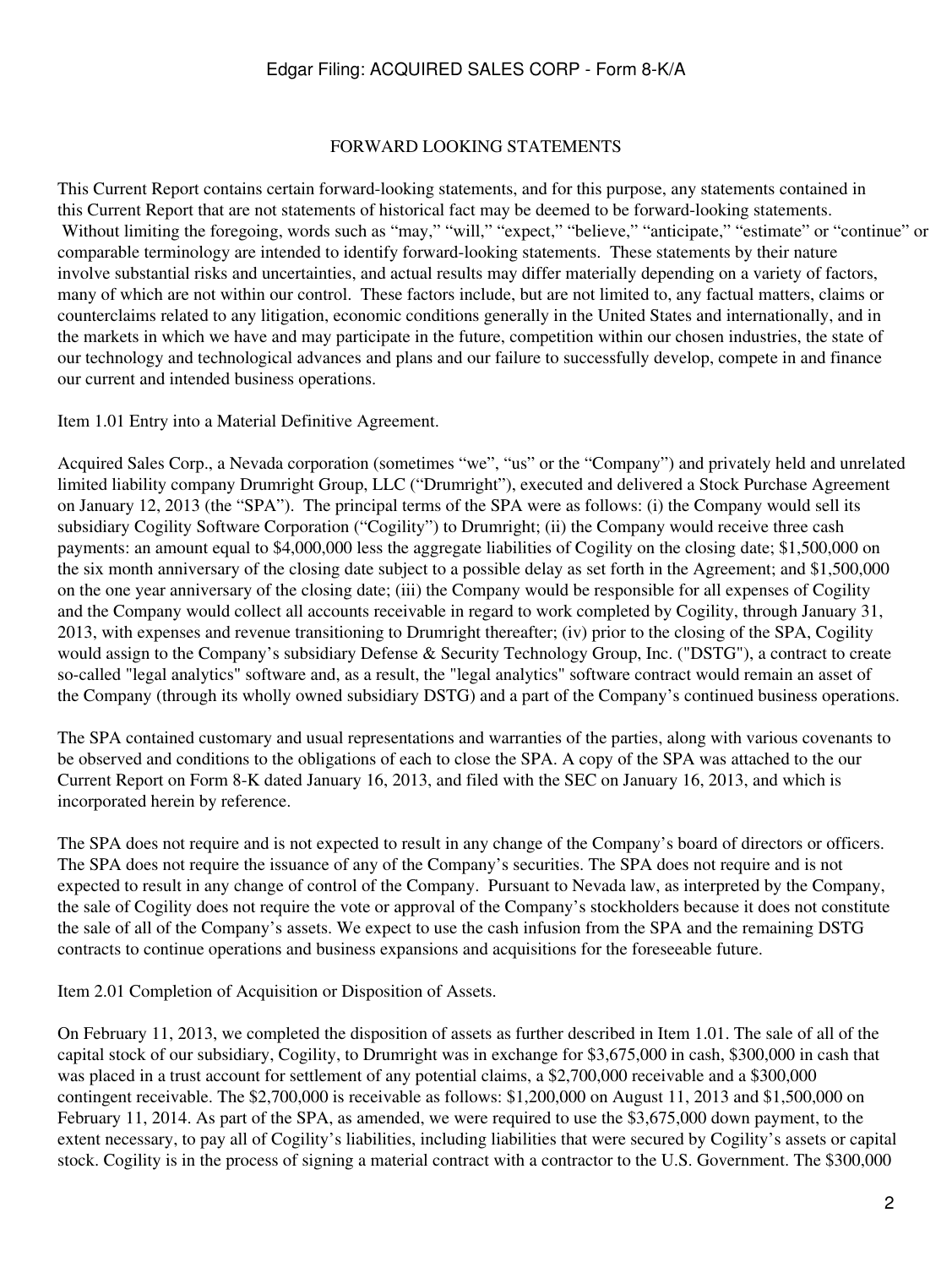#### FORWARD LOOKING STATEMENTS

This Current Report contains certain forward-looking statements, and for this purpose, any statements contained in this Current Report that are not statements of historical fact may be deemed to be forward-looking statements. Without limiting the foregoing, words such as "may," "will," "expect," "believe," "anticipate," "estimate" or "continue" or comparable terminology are intended to identify forward-looking statements. These statements by their nature involve substantial risks and uncertainties, and actual results may differ materially depending on a variety of factors, many of which are not within our control. These factors include, but are not limited to, any factual matters, claims or counterclaims related to any litigation, economic conditions generally in the United States and internationally, and in the markets in which we have and may participate in the future, competition within our chosen industries, the state of our technology and technological advances and plans and our failure to successfully develop, compete in and finance our current and intended business operations.

Item 1.01 Entry into a Material Definitive Agreement.

Acquired Sales Corp., a Nevada corporation (sometimes "we", "us" or the "Company") and privately held and unrelated limited liability company Drumright Group, LLC ("Drumright"), executed and delivered a Stock Purchase Agreement on January 12, 2013 (the "SPA"). The principal terms of the SPA were as follows: (i) the Company would sell its subsidiary Cogility Software Corporation ("Cogility") to Drumright; (ii) the Company would receive three cash payments: an amount equal to \$4,000,000 less the aggregate liabilities of Cogility on the closing date; \$1,500,000 on the six month anniversary of the closing date subject to a possible delay as set forth in the Agreement; and \$1,500,000 on the one year anniversary of the closing date; (iii) the Company would be responsible for all expenses of Cogility and the Company would collect all accounts receivable in regard to work completed by Cogility, through January 31, 2013, with expenses and revenue transitioning to Drumright thereafter; (iv) prior to the closing of the SPA, Cogility would assign to the Company's subsidiary Defense & Security Technology Group, Inc. ("DSTG"), a contract to create so-called "legal analytics" software and, as a result, the "legal analytics" software contract would remain an asset of the Company (through its wholly owned subsidiary DSTG) and a part of the Company's continued business operations.

The SPA contained customary and usual representations and warranties of the parties, along with various covenants to be observed and conditions to the obligations of each to close the SPA. A copy of the SPA was attached to the our Current Report on Form 8-K dated January 16, 2013, and filed with the SEC on January 16, 2013, and which is incorporated herein by reference.

The SPA does not require and is not expected to result in any change of the Company's board of directors or officers. The SPA does not require the issuance of any of the Company's securities. The SPA does not require and is not expected to result in any change of control of the Company. Pursuant to Nevada law, as interpreted by the Company, the sale of Cogility does not require the vote or approval of the Company's stockholders because it does not constitute the sale of all of the Company's assets. We expect to use the cash infusion from the SPA and the remaining DSTG contracts to continue operations and business expansions and acquisitions for the foreseeable future.

Item 2.01 Completion of Acquisition or Disposition of Assets.

On February 11, 2013, we completed the disposition of assets as further described in Item 1.01. The sale of all of the capital stock of our subsidiary, Cogility, to Drumright was in exchange for \$3,675,000 in cash, \$300,000 in cash that was placed in a trust account for settlement of any potential claims, a \$2,700,000 receivable and a \$300,000 contingent receivable. The \$2,700,000 is receivable as follows: \$1,200,000 on August 11, 2013 and \$1,500,000 on February 11, 2014. As part of the SPA, as amended, we were required to use the \$3,675,000 down payment, to the extent necessary, to pay all of Cogility's liabilities, including liabilities that were secured by Cogility's assets or capital stock. Cogility is in the process of signing a material contract with a contractor to the U.S. Government. The \$300,000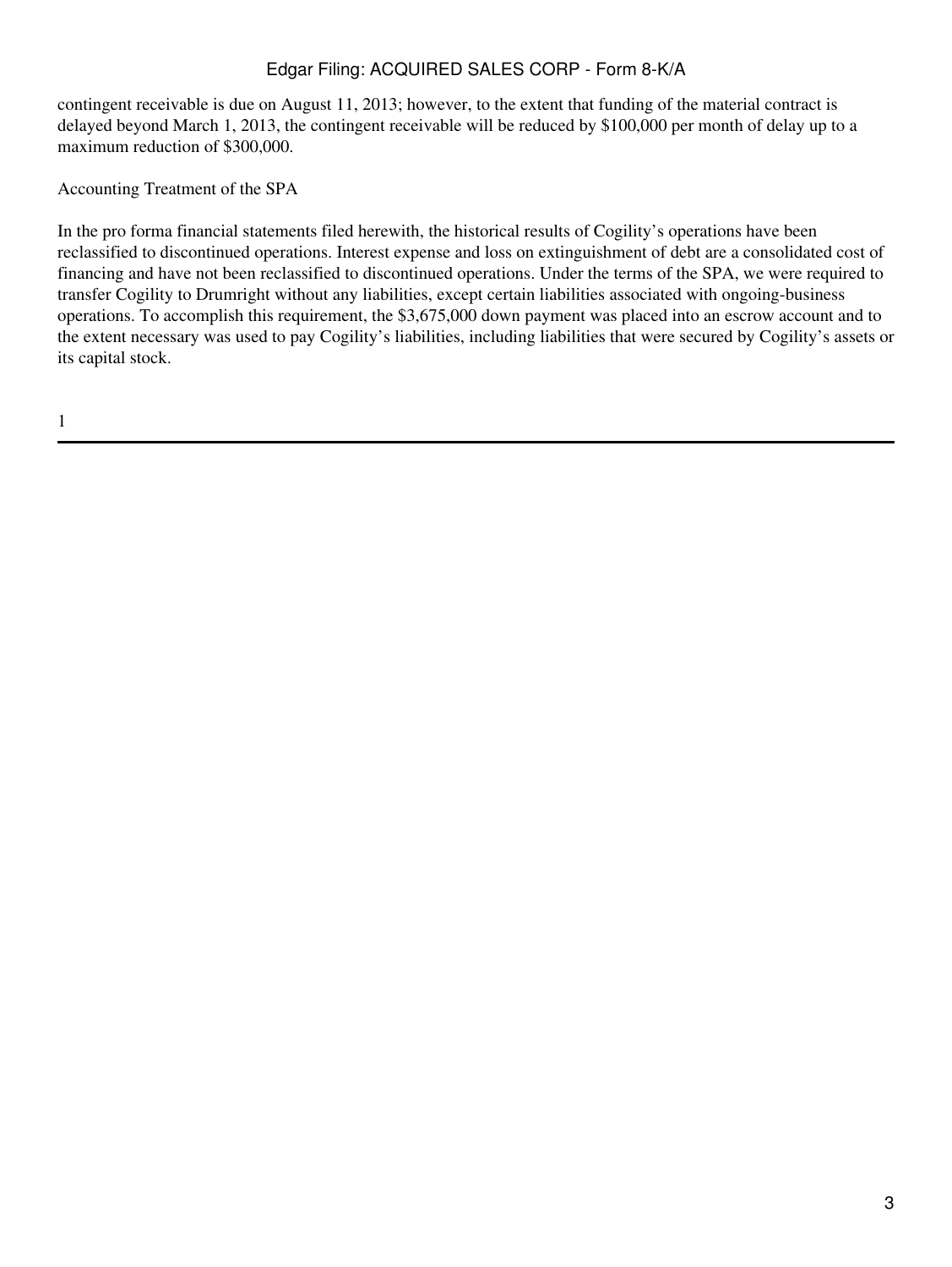contingent receivable is due on August 11, 2013; however, to the extent that funding of the material contract is delayed beyond March 1, 2013, the contingent receivable will be reduced by \$100,000 per month of delay up to a maximum reduction of \$300,000.

Accounting Treatment of the SPA

In the pro forma financial statements filed herewith, the historical results of Cogility's operations have been reclassified to discontinued operations. Interest expense and loss on extinguishment of debt are a consolidated cost of financing and have not been reclassified to discontinued operations. Under the terms of the SPA, we were required to transfer Cogility to Drumright without any liabilities, except certain liabilities associated with ongoing-business operations. To accomplish this requirement, the \$3,675,000 down payment was placed into an escrow account and to the extent necessary was used to pay Cogility's liabilities, including liabilities that were secured by Cogility's assets or its capital stock.

1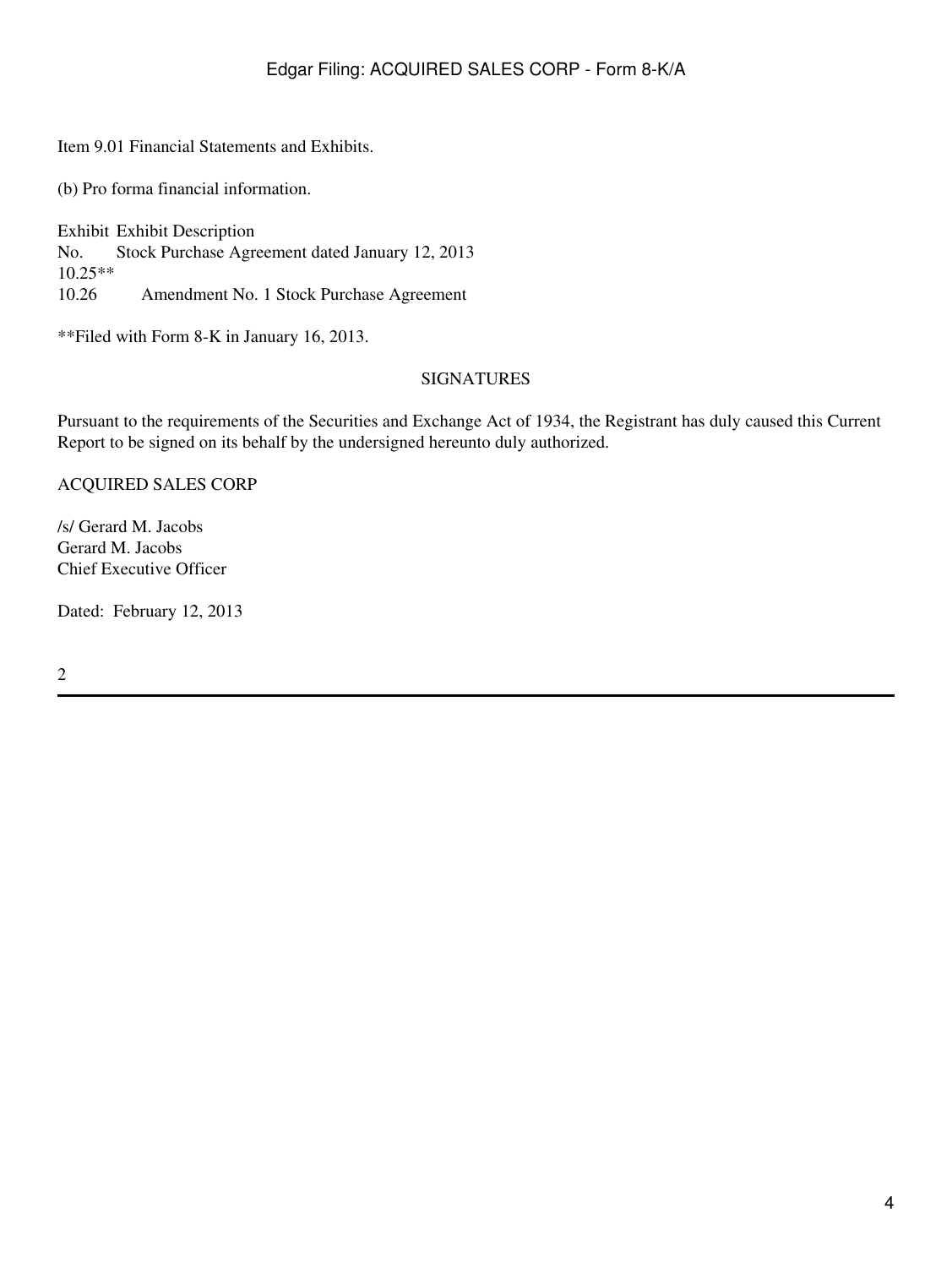Item 9.01 Financial Statements and Exhibits.

(b) Pro forma financial information.

Exhibit Exhibit Description No.  $10.25**$ <br>10.26 Stock Purchase Agreement dated January 12, 2013 Amendment No. 1 Stock Purchase Agreement

\*\*Filed with Form 8-K in January 16, 2013.

## SIGNATURES

Pursuant to the requirements of the Securities and Exchange Act of 1934, the Registrant has duly caused this Current Report to be signed on its behalf by the undersigned hereunto duly authorized.

ACQUIRED SALES CORP

/s/ Gerard M. Jacobs Gerard M. Jacobs Chief Executive Officer

Dated: February 12, 2013

2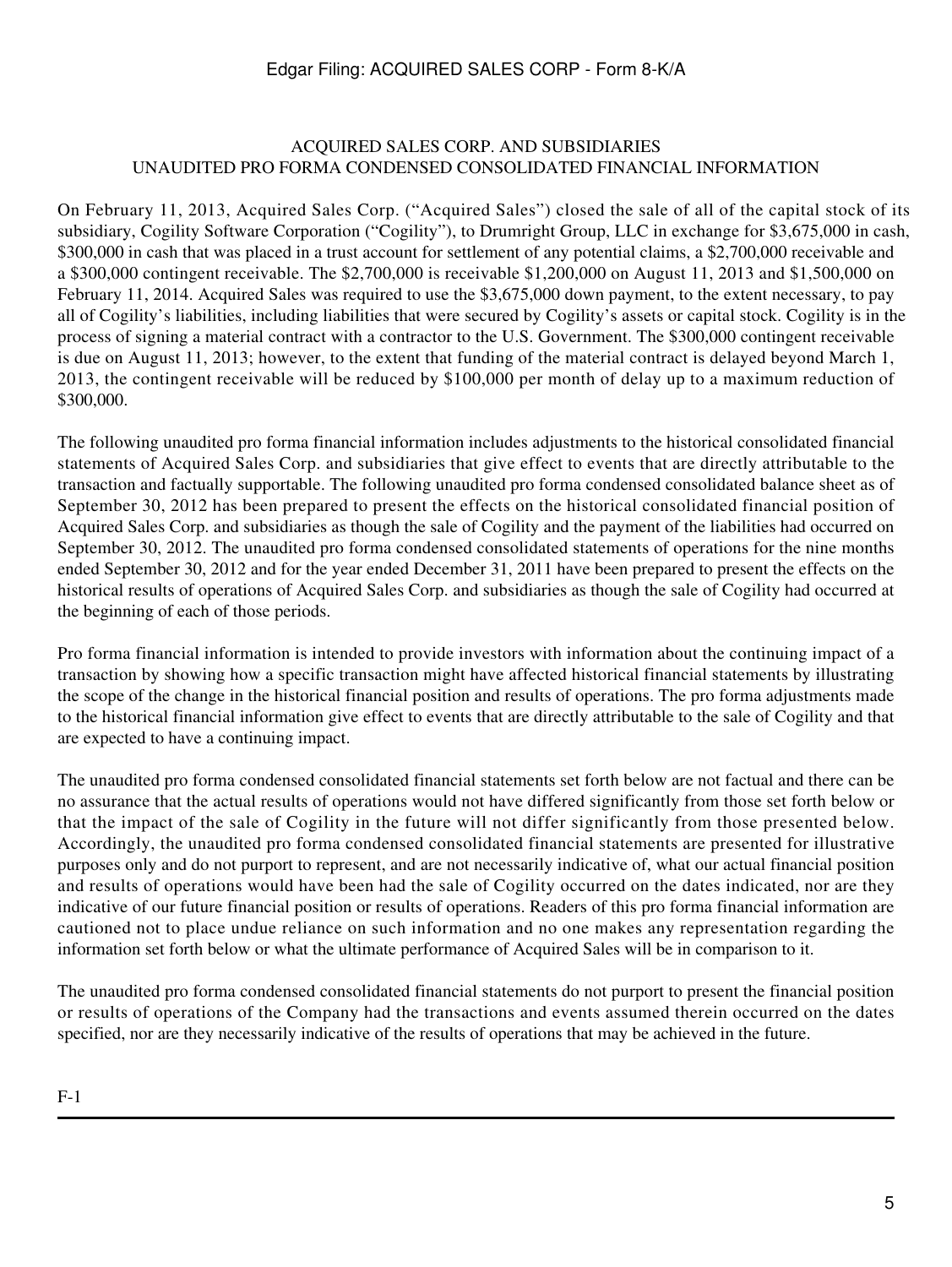#### ACQUIRED SALES CORP. AND SUBSIDIARIES UNAUDITED PRO FORMA CONDENSED CONSOLIDATED FINANCIAL INFORMATION

On February 11, 2013, Acquired Sales Corp. ("Acquired Sales") closed the sale of all of the capital stock of its subsidiary, Cogility Software Corporation ("Cogility"), to Drumright Group, LLC in exchange for \$3,675,000 in cash, \$300,000 in cash that was placed in a trust account for settlement of any potential claims, a \$2,700,000 receivable and a \$300,000 contingent receivable. The \$2,700,000 is receivable \$1,200,000 on August 11, 2013 and \$1,500,000 on February 11, 2014. Acquired Sales was required to use the \$3,675,000 down payment, to the extent necessary, to pay all of Cogility's liabilities, including liabilities that were secured by Cogility's assets or capital stock. Cogility is in the process of signing a material contract with a contractor to the U.S. Government. The \$300,000 contingent receivable is due on August 11, 2013; however, to the extent that funding of the material contract is delayed beyond March 1, 2013, the contingent receivable will be reduced by \$100,000 per month of delay up to a maximum reduction of \$300,000.

The following unaudited pro forma financial information includes adjustments to the historical consolidated financial statements of Acquired Sales Corp. and subsidiaries that give effect to events that are directly attributable to the transaction and factually supportable. The following unaudited pro forma condensed consolidated balance sheet as of September 30, 2012 has been prepared to present the effects on the historical consolidated financial position of Acquired Sales Corp. and subsidiaries as though the sale of Cogility and the payment of the liabilities had occurred on September 30, 2012. The unaudited pro forma condensed consolidated statements of operations for the nine months ended September 30, 2012 and for the year ended December 31, 2011 have been prepared to present the effects on the historical results of operations of Acquired Sales Corp. and subsidiaries as though the sale of Cogility had occurred at the beginning of each of those periods.

Pro forma financial information is intended to provide investors with information about the continuing impact of a transaction by showing how a specific transaction might have affected historical financial statements by illustrating the scope of the change in the historical financial position and results of operations. The pro forma adjustments made to the historical financial information give effect to events that are directly attributable to the sale of Cogility and that are expected to have a continuing impact.

The unaudited pro forma condensed consolidated financial statements set forth below are not factual and there can be no assurance that the actual results of operations would not have differed significantly from those set forth below or that the impact of the sale of Cogility in the future will not differ significantly from those presented below. Accordingly, the unaudited pro forma condensed consolidated financial statements are presented for illustrative purposes only and do not purport to represent, and are not necessarily indicative of, what our actual financial position and results of operations would have been had the sale of Cogility occurred on the dates indicated, nor are they indicative of our future financial position or results of operations. Readers of this pro forma financial information are cautioned not to place undue reliance on such information and no one makes any representation regarding the information set forth below or what the ultimate performance of Acquired Sales will be in comparison to it.

The unaudited pro forma condensed consolidated financial statements do not purport to present the financial position or results of operations of the Company had the transactions and events assumed therein occurred on the dates specified, nor are they necessarily indicative of the results of operations that may be achieved in the future.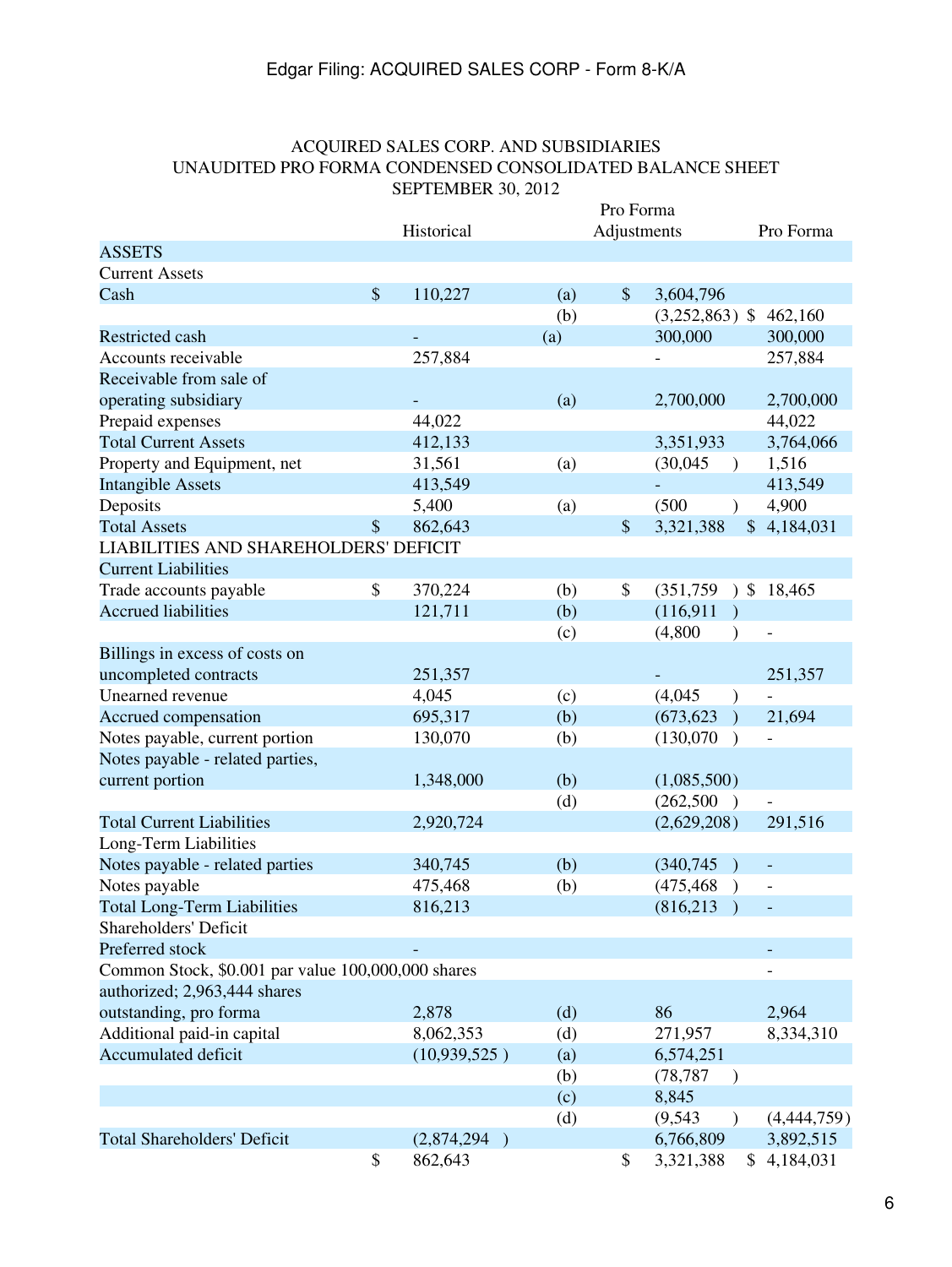## ACQUIRED SALES CORP. AND SUBSIDIARIES UNAUDITED PRO FORMA CONDENSED CONSOLIDATED BALANCE SHEET SEPTEMBER 30, 2012

|                                                    |                           |                          |     | Pro Forma |                             |                 |
|----------------------------------------------------|---------------------------|--------------------------|-----|-----------|-----------------------------|-----------------|
|                                                    |                           | Historical               |     |           | Adjustments                 | Pro Forma       |
| <b>ASSETS</b>                                      |                           |                          |     |           |                             |                 |
| <b>Current Assets</b>                              |                           |                          |     |           |                             |                 |
| Cash                                               | $\boldsymbol{\mathsf{S}}$ | 110,227                  | (a) | $\$\$     | 3,604,796                   |                 |
|                                                    |                           |                          | (b) |           | $(3,252,863)$ \$            | 462,160         |
| Restricted cash                                    |                           |                          | (a) |           | 300,000                     | 300,000         |
| Accounts receivable                                |                           | 257,884                  |     |           |                             | 257,884         |
| Receivable from sale of                            |                           |                          |     |           |                             |                 |
| operating subsidiary                               |                           |                          | (a) |           | 2,700,000                   | 2,700,000       |
| Prepaid expenses                                   |                           | 44,022                   |     |           |                             | 44,022          |
| <b>Total Current Assets</b>                        |                           | 412,133                  |     |           | 3,351,933                   | 3,764,066       |
| Property and Equipment, net                        |                           | 31,561                   | (a) |           | (30,045)<br>$\lambda$       | 1,516           |
| <b>Intangible Assets</b>                           |                           | 413,549                  |     |           |                             | 413,549         |
| Deposits                                           |                           | 5,400                    | (a) |           | (500)<br>$\lambda$          | 4,900           |
| <b>Total Assets</b>                                | \$                        | 862,643                  |     | \$        | 3,321,388                   | \$<br>4,184,031 |
| <b>LIABILITIES AND SHAREHOLDERS' DEFICIT</b>       |                           |                          |     |           |                             |                 |
| <b>Current Liabilities</b>                         |                           |                          |     |           |                             |                 |
| Trade accounts payable                             | \$                        | 370,224                  | (b) | \$        | (351,759)<br>$\lambda$      | \$<br>18,465    |
| <b>Accrued liabilities</b>                         |                           | 121,711                  | (b) |           | (116, 911)                  |                 |
|                                                    |                           |                          | (c) |           | (4,800)<br>$\mathcal{E}$    |                 |
| Billings in excess of costs on                     |                           |                          |     |           |                             |                 |
| uncompleted contracts                              |                           | 251,357                  |     |           |                             | 251,357         |
| Unearned revenue                                   |                           | 4,045                    | (c) |           | (4,045)                     |                 |
| Accrued compensation                               |                           | 695,317                  | (b) |           | (673, 623)<br>$\lambda$     | 21,694          |
|                                                    |                           |                          |     |           |                             |                 |
| Notes payable, current portion                     |                           | 130,070                  | (b) |           | (130,070)<br>$\lambda$      |                 |
| Notes payable - related parties,                   |                           |                          |     |           |                             |                 |
| current portion                                    |                           | 1,348,000                | (b) |           | (1,085,500)                 |                 |
|                                                    |                           |                          | (d) |           | (262, 500)<br>$\rightarrow$ |                 |
| <b>Total Current Liabilities</b>                   |                           | 2,920,724                |     |           | (2,629,208)                 | 291,516         |
| Long-Term Liabilities                              |                           |                          |     |           |                             |                 |
| Notes payable - related parties                    |                           | 340,745                  | (b) |           | (340, 745)                  |                 |
| Notes payable                                      |                           | 475,468                  | (b) |           | (475, 468)<br>$\lambda$     |                 |
| <b>Total Long-Term Liabilities</b>                 |                           | 816,213                  |     |           | (816, 213)                  |                 |
| Shareholders' Deficit                              |                           |                          |     |           |                             |                 |
| Preferred stock                                    |                           |                          |     |           |                             |                 |
| Common Stock, \$0.001 par value 100,000,000 shares |                           |                          |     |           |                             |                 |
| authorized; 2,963,444 shares                       |                           |                          |     |           |                             |                 |
| outstanding, pro forma                             |                           | 2,878                    | (d) |           | 86                          | 2,964           |
| Additional paid-in capital                         |                           | 8,062,353                | (d) |           | 271,957                     | 8,334,310       |
| <b>Accumulated deficit</b>                         |                           | (10,939,525)             | (a) |           | 6,574,251                   |                 |
|                                                    |                           |                          | (b) |           | (78, 787)<br>$\lambda$      |                 |
|                                                    |                           |                          | (c) |           | 8,845                       |                 |
|                                                    |                           |                          | (d) |           | (9, 543)<br>$\mathcal{E}$   | (4,444,759)     |
| <b>Total Shareholders' Deficit</b>                 |                           | (2,874,294)<br>$\lambda$ |     |           | 6,766,809                   | 3,892,515       |
|                                                    | \$                        | 862,643                  |     | \$        | 3,321,388                   | \$4,184,031     |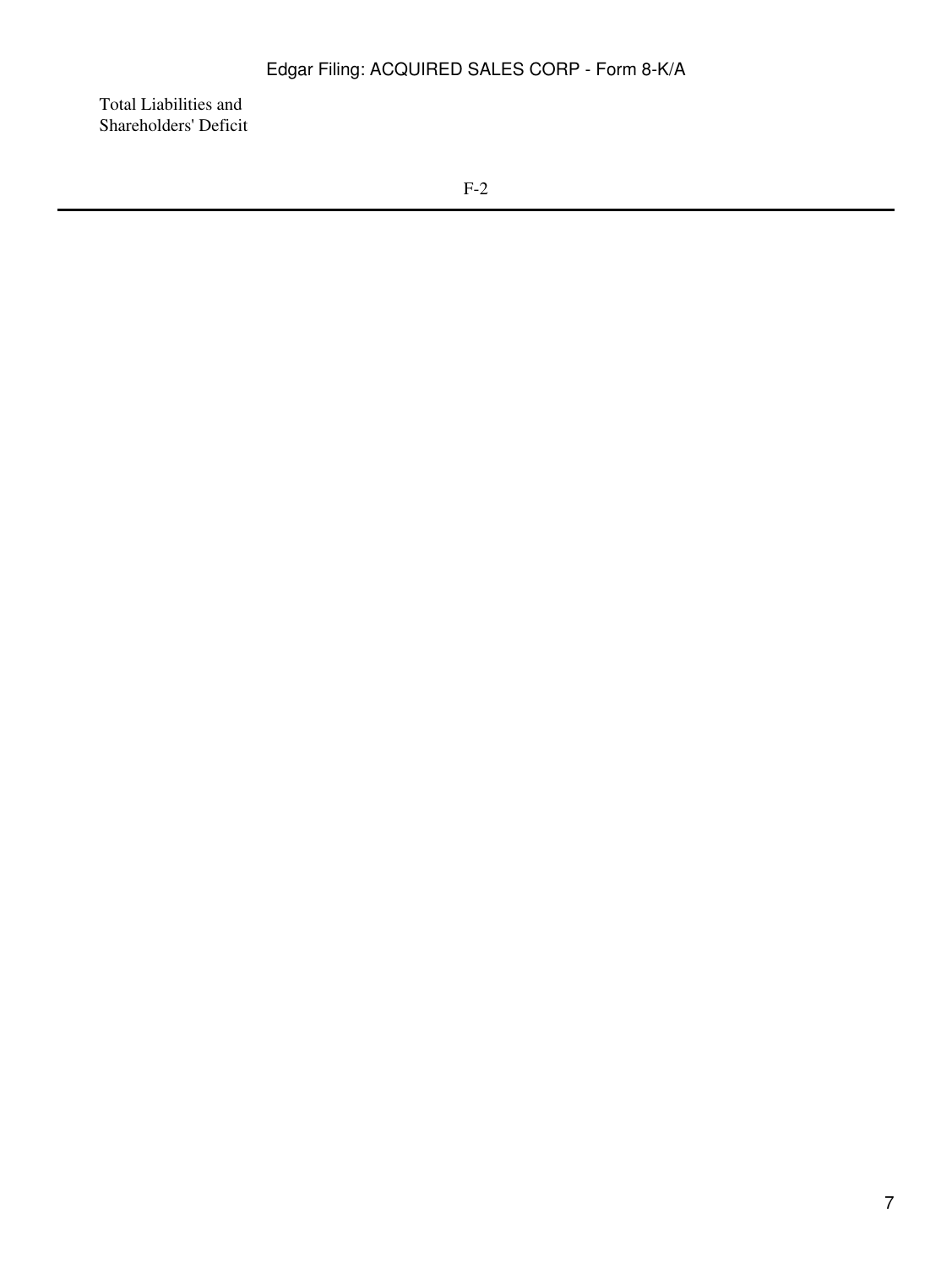Total Liabilities and Shareholders' Deficit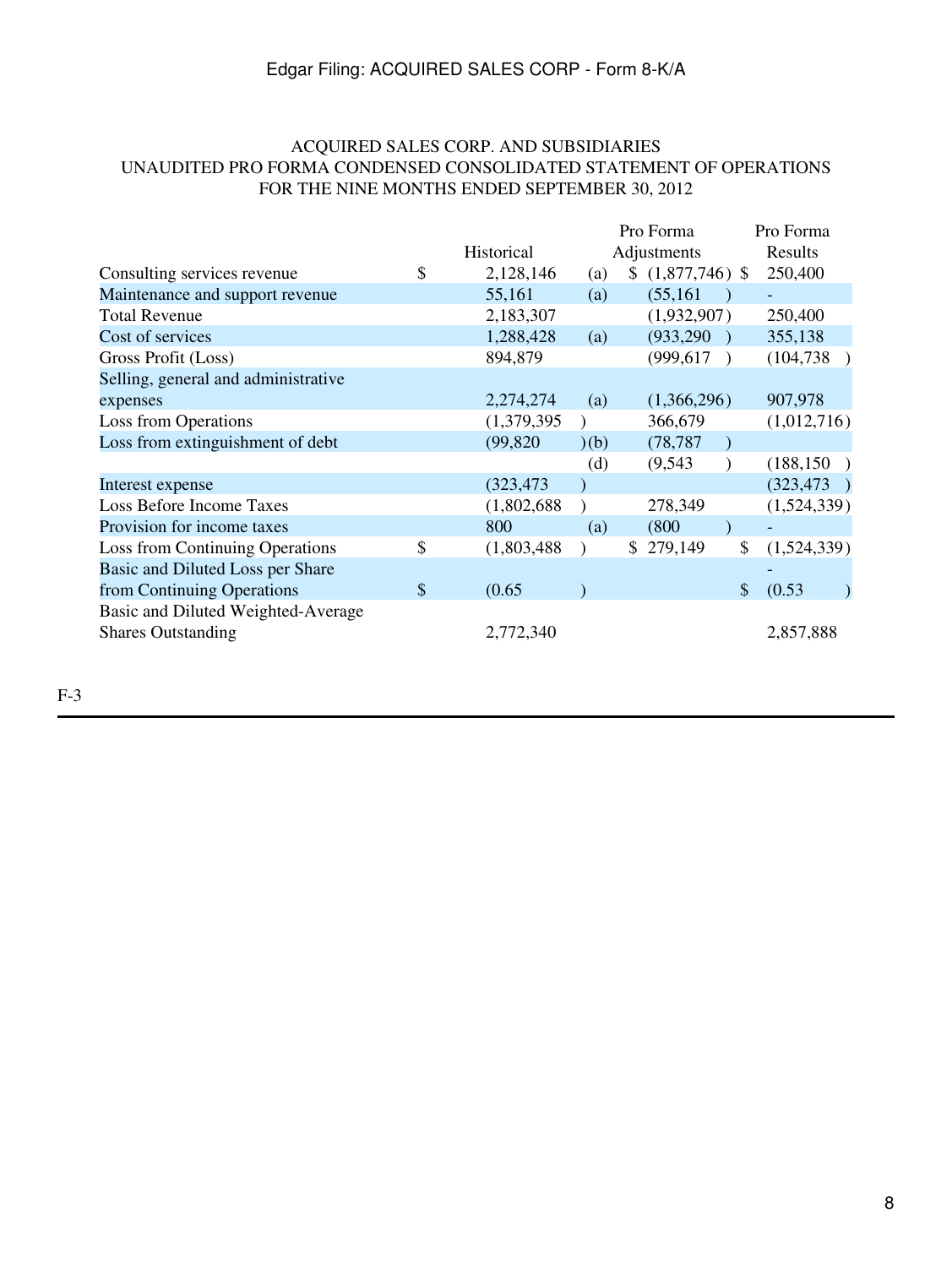## ACQUIRED SALES CORP. AND SUBSIDIARIES UNAUDITED PRO FORMA CONDENSED CONSOLIDATED STATEMENT OF OPERATIONS FOR THE NINE MONTHS ENDED SEPTEMBER 30, 2012

|                                     |                   | Pro Forma |               | Pro Forma         |  |
|-------------------------------------|-------------------|-----------|---------------|-------------------|--|
|                                     | Historical        |           | Adjustments   | Results           |  |
| Consulting services revenue         | \$<br>2,128,146   | (a)       | \$(1,877,746) | 250,400           |  |
| Maintenance and support revenue     | 55,161            | (a)       | (55, 161)     |                   |  |
| <b>Total Revenue</b>                | 2,183,307         |           | (1,932,907)   | 250,400           |  |
| Cost of services                    | 1,288,428         | (a)       | (933, 290)    | 355,138           |  |
| Gross Profit (Loss)                 | 894,879           |           | (999, 617)    | (104, 738)        |  |
| Selling, general and administrative |                   |           |               |                   |  |
| expenses                            | 2,274,274         | (a)       | (1,366,296)   | 907,978           |  |
| Loss from Operations                | (1,379,395)       |           | 366,679       | (1,012,716)       |  |
| Loss from extinguishment of debt    | (99, 820)         | (b)       | (78, 787)     |                   |  |
|                                     |                   | (d)       | (9,543)       | (188, 150)        |  |
| Interest expense                    | (323, 473)        |           |               | (323, 473)        |  |
| Loss Before Income Taxes            | (1,802,688)       |           | 278,349       | (1,524,339)       |  |
| Provision for income taxes          | 800               | (a)       | (800)         |                   |  |
| Loss from Continuing Operations     | \$<br>(1,803,488) |           | \$279,149     | \$<br>(1,524,339) |  |
| Basic and Diluted Loss per Share    |                   |           |               |                   |  |
| from Continuing Operations          | \$<br>(0.65)      |           |               | \$<br>(0.53)      |  |
| Basic and Diluted Weighted-Average  |                   |           |               |                   |  |
| <b>Shares Outstanding</b>           | 2,772,340         |           |               | 2,857,888         |  |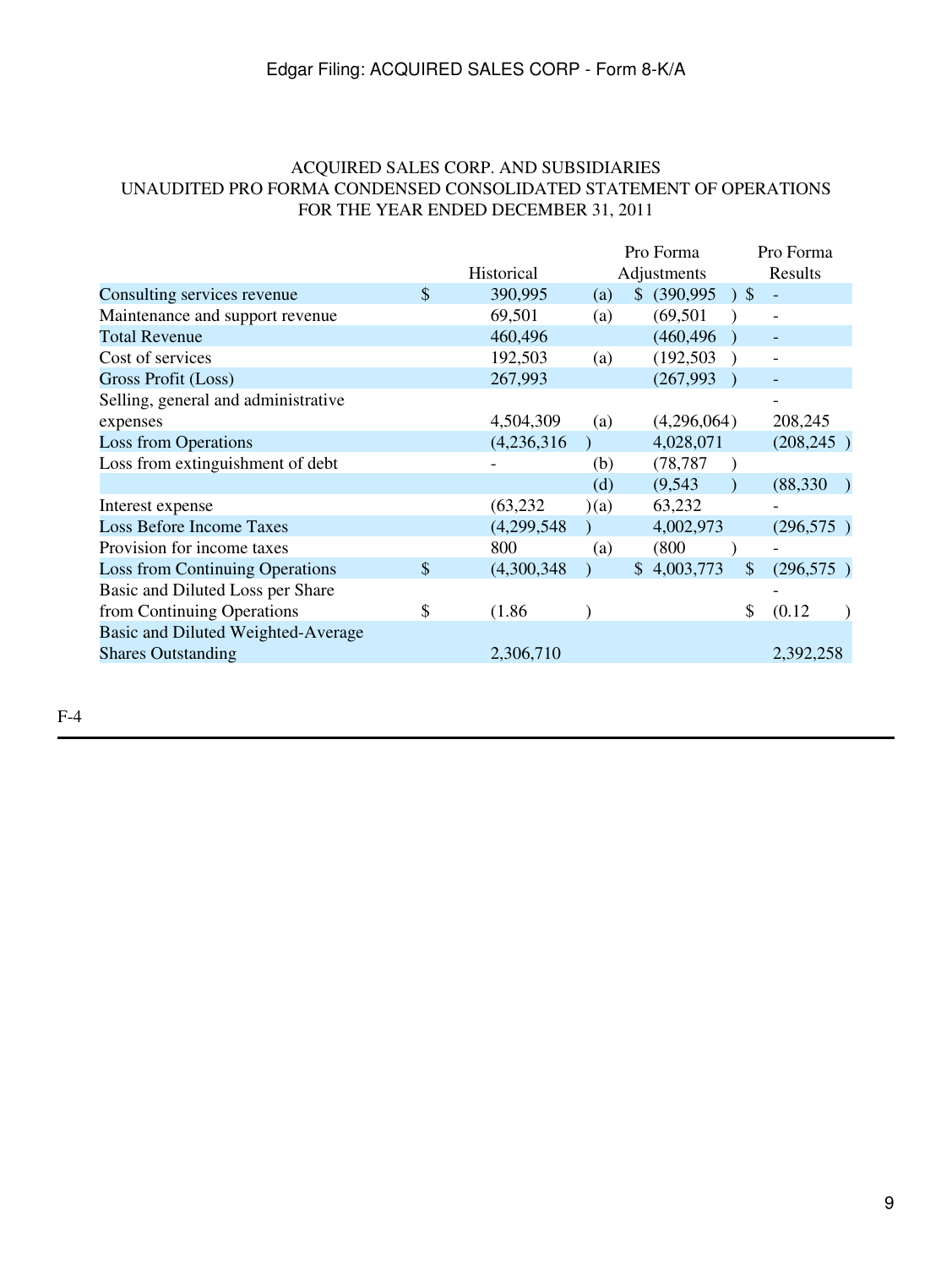### ACQUIRED SALES CORP. AND SUBSIDIARIES UNAUDITED PRO FORMA CONDENSED CONSOLIDATED STATEMENT OF OPERATIONS FOR THE YEAR ENDED DECEMBER 31, 2011

|                                        |               |             |     | Pro Forma     |               | Pro Forma                |  |
|----------------------------------------|---------------|-------------|-----|---------------|---------------|--------------------------|--|
|                                        |               | Historical  |     | Adjustments   |               | Results                  |  |
| Consulting services revenue            | \$            | 390,995     | (a) | \$ (390,995 ) |               |                          |  |
| Maintenance and support revenue        |               | 69,501      | (a) | (69, 501)     |               |                          |  |
| <b>Total Revenue</b>                   |               | 460,496     |     | (460, 496)    |               |                          |  |
| Cost of services                       |               | 192,503     | (a) | (192, 503)    |               | $\overline{\phantom{a}}$ |  |
| Gross Profit (Loss)                    |               | 267,993     |     | (267, 993)    |               |                          |  |
| Selling, general and administrative    |               |             |     |               |               |                          |  |
| expenses                               |               | 4,504,309   | (a) | (4,296,064)   |               | 208,245                  |  |
| <b>Loss from Operations</b>            |               | (4,236,316) |     | 4,028,071     |               | (208, 245)               |  |
| Loss from extinguishment of debt       |               |             | (b) | (78, 787)     |               |                          |  |
|                                        |               |             | (d) | (9, 543)      |               | (88, 330)                |  |
| Interest expense                       |               | (63, 232)   | (a) | 63,232        |               |                          |  |
| <b>Loss Before Income Taxes</b>        |               | (4,299,548) |     | 4,002,973     |               | (296, 575)               |  |
| Provision for income taxes             |               | 800         | (a) | (800)         |               |                          |  |
| <b>Loss from Continuing Operations</b> | $\mathcal{S}$ | (4,300,348) |     | \$4,003,773   | $\mathcal{S}$ | (296, 575)               |  |
| Basic and Diluted Loss per Share       |               |             |     |               |               |                          |  |
| from Continuing Operations             | \$            | (1.86)      |     |               | \$            | (0.12)                   |  |
| Basic and Diluted Weighted-Average     |               |             |     |               |               |                          |  |
| <b>Shares Outstanding</b>              |               | 2,306,710   |     |               |               | 2,392,258                |  |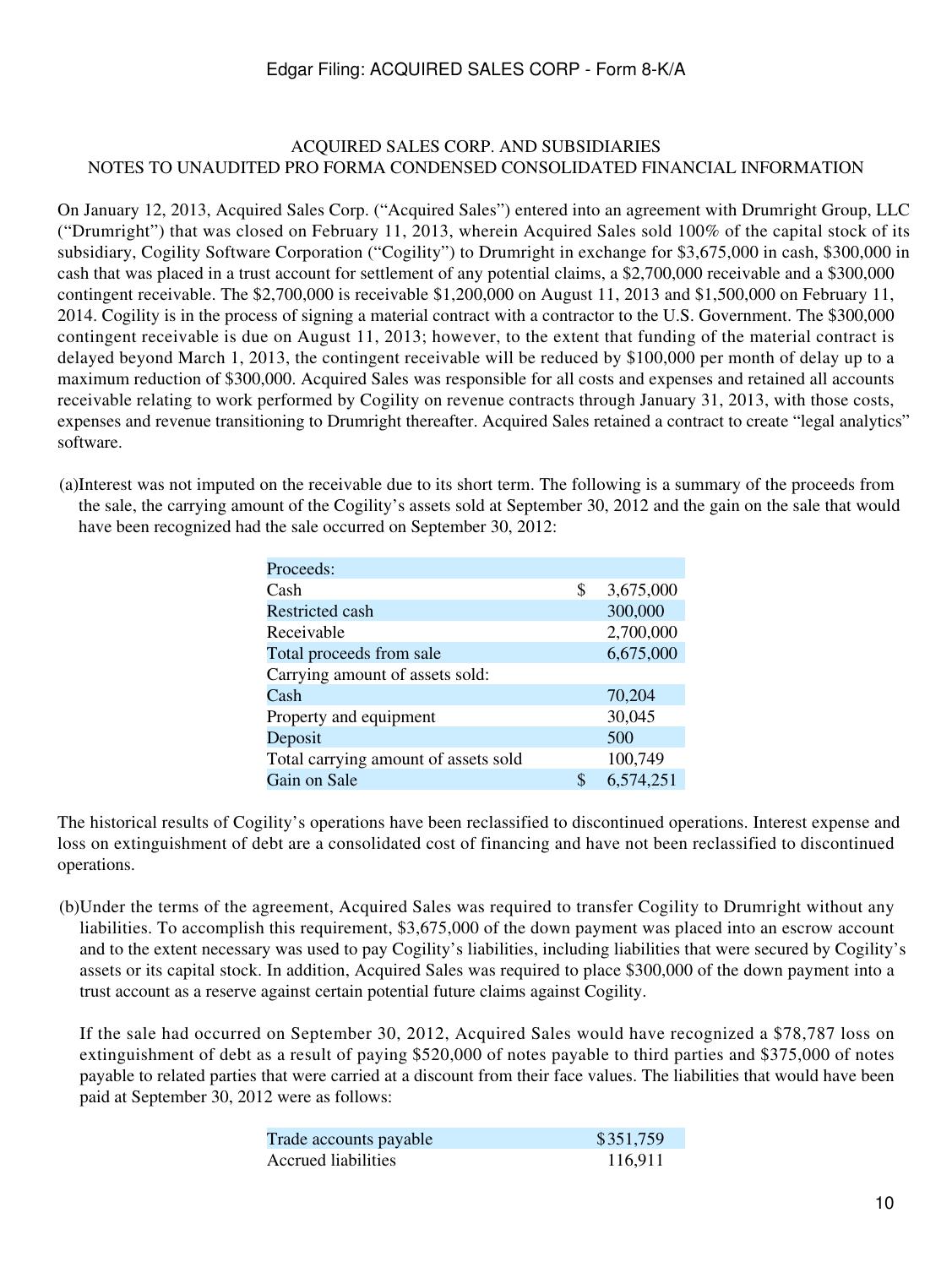#### ACQUIRED SALES CORP. AND SUBSIDIARIES NOTES TO UNAUDITED PRO FORMA CONDENSED CONSOLIDATED FINANCIAL INFORMATION

On January 12, 2013, Acquired Sales Corp. ("Acquired Sales") entered into an agreement with Drumright Group, LLC ("Drumright") that was closed on February 11, 2013, wherein Acquired Sales sold 100% of the capital stock of its subsidiary, Cogility Software Corporation ("Cogility") to Drumright in exchange for \$3,675,000 in cash, \$300,000 in cash that was placed in a trust account for settlement of any potential claims, a \$2,700,000 receivable and a \$300,000 contingent receivable. The \$2,700,000 is receivable \$1,200,000 on August 11, 2013 and \$1,500,000 on February 11, 2014. Cogility is in the process of signing a material contract with a contractor to the U.S. Government. The \$300,000 contingent receivable is due on August 11, 2013; however, to the extent that funding of the material contract is delayed beyond March 1, 2013, the contingent receivable will be reduced by \$100,000 per month of delay up to a maximum reduction of \$300,000. Acquired Sales was responsible for all costs and expenses and retained all accounts receivable relating to work performed by Cogility on revenue contracts through January 31, 2013, with those costs, expenses and revenue transitioning to Drumright thereafter. Acquired Sales retained a contract to create "legal analytics" software.

(a)Interest was not imputed on the receivable due to its short term. The following is a summary of the proceeds from the sale, the carrying amount of the Cogility's assets sold at September 30, 2012 and the gain on the sale that would have been recognized had the sale occurred on September 30, 2012:

| Proceeds:                            |    |           |
|--------------------------------------|----|-----------|
| Cash                                 | \$ | 3,675,000 |
| <b>Restricted cash</b>               |    | 300,000   |
| Receivable                           |    | 2,700,000 |
| Total proceeds from sale             |    | 6,675,000 |
| Carrying amount of assets sold:      |    |           |
| Cash                                 |    | 70,204    |
| Property and equipment               |    | 30,045    |
| Deposit                              |    | 500       |
| Total carrying amount of assets sold |    | 100,749   |
| Gain on Sale                         | S  | 6,574,251 |

The historical results of Cogility's operations have been reclassified to discontinued operations. Interest expense and loss on extinguishment of debt are a consolidated cost of financing and have not been reclassified to discontinued operations.

(b)Under the terms of the agreement, Acquired Sales was required to transfer Cogility to Drumright without any liabilities. To accomplish this requirement, \$3,675,000 of the down payment was placed into an escrow account and to the extent necessary was used to pay Cogility's liabilities, including liabilities that were secured by Cogility's assets or its capital stock. In addition, Acquired Sales was required to place \$300,000 of the down payment into a trust account as a reserve against certain potential future claims against Cogility.

If the sale had occurred on September 30, 2012, Acquired Sales would have recognized a \$78,787 loss on extinguishment of debt as a result of paying \$520,000 of notes payable to third parties and \$375,000 of notes payable to related parties that were carried at a discount from their face values. The liabilities that would have been paid at September 30, 2012 were as follows:

| Trade accounts payable | \$351,759 |
|------------------------|-----------|
| Accrued liabilities    | 116.911   |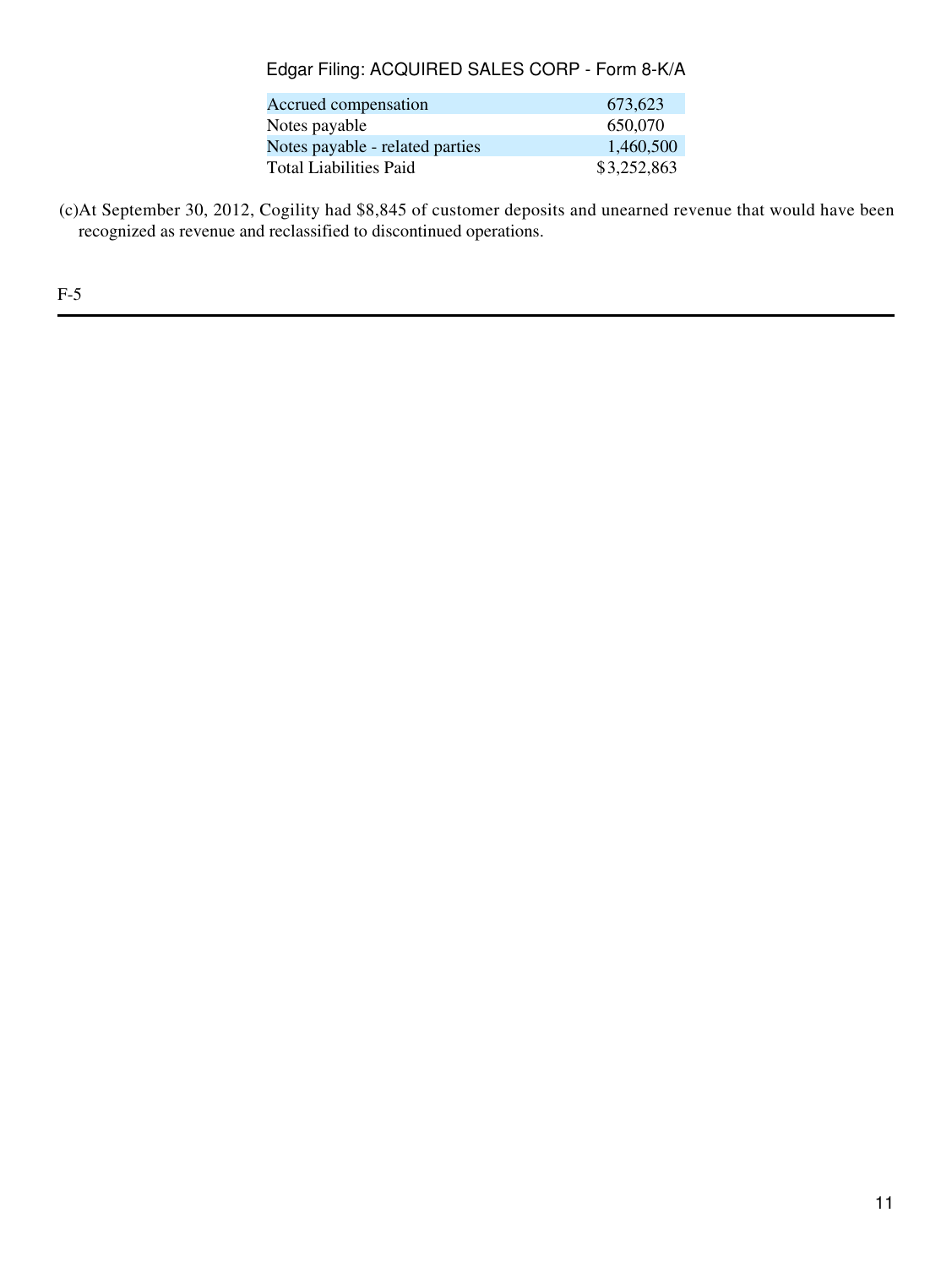| Accrued compensation            | 673.623     |
|---------------------------------|-------------|
| Notes payable                   | 650,070     |
| Notes payable - related parties | 1,460,500   |
| Total Liabilities Paid          | \$3,252,863 |

(c)At September 30, 2012, Cogility had \$8,845 of customer deposits and unearned revenue that would have been recognized as revenue and reclassified to discontinued operations.

F-5